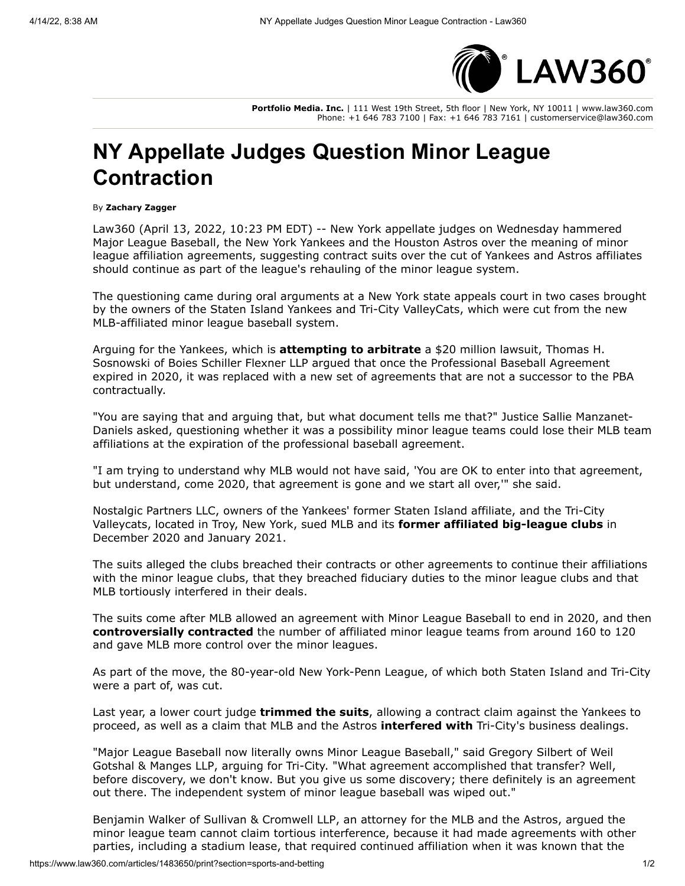

**Portfolio Media. Inc.** | 111 West 19th Street, 5th floor | New York, NY 10011 | www.law360.com Phone: +1 646 783 7100 | Fax: +1 646 783 7161 | customerservice@law360.com

## **NY Appellate Judges Question Minor League Contraction**

## By **Zachary Zagger**

Law360 (April 13, 2022, 10:23 PM EDT) -- New York appellate judges on Wednesday hammered [Major League Baseball](https://www.law360.com/companies/major-league-baseball-inc), the [New York Yankees](https://www.law360.com/companies/new-york-yankees) and the [Houston Astros](https://www.law360.com/companies/houston-astros) over the meaning of minor league affiliation agreements, suggesting contract suits over the cut of Yankees and Astros affiliates should continue as part of the league's rehauling of the minor league system.

The questioning came during oral arguments at a New York state appeals court in two cases brought by the owners of the Staten Island Yankees and Tri-City ValleyCats, which were cut from the new MLB-affiliated minor league baseball system.

Arguing for the Yankees, which is **[attempting to arbitrate](https://www.law360.com/articles/1429381/yankees-want-to-arbitrate-suit-over-minor-league-club-cut)** a \$20 million lawsuit, Thomas H. Sosnowski of [Boies Schiller Flexner LLP](https://www.law360.com/firms/boies-schiller) argued that once the Professional Baseball Agreement expired in 2020, it was replaced with a new set of agreements that are not a successor to the PBA contractually.

"You are saying that and arguing that, but what document tells me that?" Justice Sallie Manzanet-Daniels asked, questioning whether it was a possibility minor league teams could lose their MLB team affiliations at the expiration of the professional baseball agreement.

"I am trying to understand why MLB would not have said, 'You are OK to enter into that agreement, but understand, come 2020, that agreement is gone and we start all over,'" she said.

Nostalgic Partners LLC, owners of the Yankees' former Staten Island affiliate, and the Tri-City Valleycats, located in Troy, New York, sued MLB and its **[former affiliated big-league clubs](https://www.law360.com/articles/1334461)** in December 2020 and January 2021.

The suits alleged the clubs breached their contracts or other agreements to continue their affiliations with the minor league clubs, that they breached fiduciary duties to the minor league clubs and that MLB tortiously interfered in their deals.

The suits come after MLB allowed an agreement with [Minor League Baseball](https://www.law360.com/companies/minor-league-baseball) to end in 2020, and then **[controversially contracted](https://www.law360.com/articles/1221579)** the number of affiliated minor league teams from around 160 to 120 and gave MLB more control over the minor leagues.

As part of the move, the 80-year-old New York-Penn League, of which both Staten Island and Tri-City were a part of, was cut.

Last year, a lower court judge **[trimmed the suits](https://www.law360.com/articles/1429381)**, allowing a contract claim against the Yankees to proceed, as well as a claim that MLB and the Astros **[interfered with](https://www.law360.com/articles/1416696)** Tri-City's business dealings.

["Major League Baseball now literally owns Minor League Baseball," said Gregory Silbert of Weil](https://www.law360.com/firms/weil-gotshal) Gotshal & Manges LLP, arguing for Tri-City. "What agreement accomplished that transfer? Well, before discovery, we don't know. But you give us some discovery; there definitely is an agreement out there. The independent system of minor league baseball was wiped out."

Benjamin Walker of [Sullivan & Cromwell LLP](https://www.law360.com/firms/sullivan-cromwell), an attorney for the MLB and the Astros, argued the minor league team cannot claim tortious interference, because it had made agreements with other parties, including a stadium lease, that required continued affiliation when it was known that the